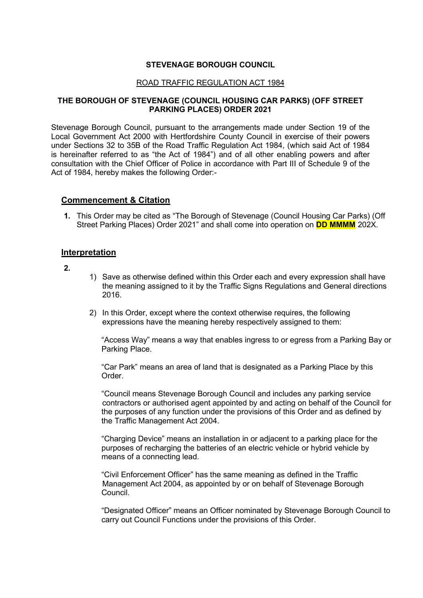#### **STEVENAGE BOROUGH COUNCIL**

#### ROAD TRAFFIC REGULATION ACT 1984

#### **THE BOROUGH OF STEVENAGE (COUNCIL HOUSING CAR PARKS) (OFF STREET PARKING PLACES) ORDER 2021**

 Stevenage Borough Council, pursuant to the arrangements made under Section 19 of the Local Government Act 2000 with Hertfordshire County Council in exercise of their powers under Sections 32 to 35B of the Road Traffic Regulation Act 1984, (which said Act of 1984 consultation with the Chief Officer of Police in accordance with Part III of Schedule 9 of the is hereinafter referred to as "the Act of 1984") and of all other enabling powers and after Act of 1984, hereby makes the following Order:-

#### **Commencement & Citation**

 Street Parking Places) Order 2021" and shall come into operation on **DD MMMM** 202X. **1.** This Order may be cited as "The Borough of Stevenage (Council Housing Car Parks) (Off

#### **Interpretation**

**2.** 

- 1) Save as otherwise defined within this Order each and every expression shall have the meaning assigned to it by the Traffic Signs Regulations and General directions 2016.
- 2) In this Order, except where the context otherwise requires, the following expressions have the meaning hereby respectively assigned to them:

"Access Way" means a way that enables ingress to or egress from a Parking Bay or Parking Place.

 "Car Park" means an area of land that is designated as a Parking Place by this Order.

 the purposes of any function under the provisions of this Order and as defined by "Council means Stevenage Borough Council and includes any parking service contractors or authorised agent appointed by and acting on behalf of the Council for the Traffic Management Act 2004.

"Charging Device" means an installation in or adjacent to a parking place for the purposes of recharging the batteries of an electric vehicle or hybrid vehicle by means of a connecting lead.

"Civil Enforcement Officer" has the same meaning as defined in the Traffic Management Act 2004, as appointed by or on behalf of Stevenage Borough Council.

 "Designated Officer" means an Officer nominated by Stevenage Borough Council to carry out Council Functions under the provisions of this Order.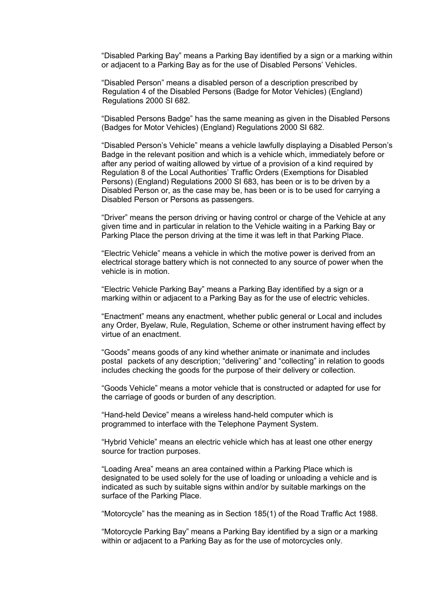"Disabled Parking Bay" means a Parking Bay identified by a sign or a marking within or adjacent to a Parking Bay as for the use of Disabled Persons' Vehicles.

 Regulation 4 of the Disabled Persons (Badge for Motor Vehicles) (England) "Disabled Person" means a disabled person of a description prescribed by Regulations 2000 SI 682.

 "Disabled Persons Badge" has the same meaning as given in the Disabled Persons (Badges for Motor Vehicles) (England) Regulations 2000 SI 682.

 Disabled Person or Persons as passengers. "Disabled Person's Vehicle" means a vehicle lawfully displaying a Disabled Person's Badge in the relevant position and which is a vehicle which, immediately before or after any period of waiting allowed by virtue of a provision of a kind required by Regulation 8 of the Local Authorities' Traffic Orders (Exemptions for Disabled Persons) (England) Regulations 2000 SI 683, has been or is to be driven by a Disabled Person or, as the case may be, has been or is to be used for carrying a

 "Driver" means the person driving or having control or charge of the Vehicle at any given time and in particular in relation to the Vehicle waiting in a Parking Bay or Parking Place the person driving at the time it was left in that Parking Place.

"Electric Vehicle" means a vehicle in which the motive power is derived from an electrical storage battery which is not connected to any source of power when the vehicle is in motion.

"Electric Vehicle Parking Bay" means a Parking Bay identified by a sign or a marking within or adjacent to a Parking Bay as for the use of electric vehicles.

 "Enactment" means any enactment, whether public general or Local and includes any Order, Byelaw, Rule, Regulation, Scheme or other instrument having effect by virtue of an enactment.

"Goods" means goods of any kind whether animate or inanimate and includes postal packets of any description; "delivering" and "collecting" in relation to goods includes checking the goods for the purpose of their delivery or collection.

 "Goods Vehicle" means a motor vehicle that is constructed or adapted for use for the carriage of goods or burden of any description.

"Hand-held Device" means a wireless hand-held computer which is programmed to interface with the Telephone Payment System.

"Hybrid Vehicle" means an electric vehicle which has at least one other energy source for traction purposes.

"Loading Area" means an area contained within a Parking Place which is designated to be used solely for the use of loading or unloading a vehicle and is indicated as such by suitable signs within and/or by suitable markings on the surface of the Parking Place.

"Motorcycle" has the meaning as in Section 185(1) of the Road Traffic Act 1988.

"Motorcycle Parking Bay" means a Parking Bay identified by a sign or a marking within or adjacent to a Parking Bay as for the use of motorcycles only.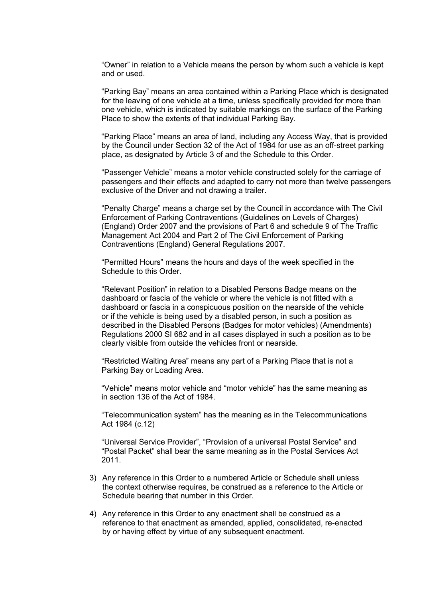"Owner" in relation to a Vehicle means the person by whom such a vehicle is kept and or used.

"Parking Bay" means an area contained within a Parking Place which is designated for the leaving of one vehicle at a time, unless specifically provided for more than one vehicle, which is indicated by suitable markings on the surface of the Parking Place to show the extents of that individual Parking Bay.

 "Parking Place" means an area of land, including any Access Way, that is provided place, as designated by Article 3 of and the Schedule to this Order. by the Council under Section 32 of the Act of 1984 for use as an off-street parking

"Passenger Vehicle" means a motor vehicle constructed solely for the carriage of passengers and their effects and adapted to carry not more than twelve passengers exclusive of the Driver and not drawing a trailer.

"Penalty Charge" means a charge set by the Council in accordance with The Civil Enforcement of Parking Contraventions (Guidelines on Levels of Charges) (England) Order 2007 and the provisions of Part 6 and schedule 9 of The Traffic Management Act 2004 and Part 2 of The Civil Enforcement of Parking Contraventions (England) General Regulations 2007.

 Schedule to this Order. "Permitted Hours" means the hours and days of the week specified in the

 dashboard or fascia of the vehicle or where the vehicle is not fitted with a "Relevant Position" in relation to a Disabled Persons Badge means on the dashboard or fascia in a conspicuous position on the nearside of the vehicle or if the vehicle is being used by a disabled person, in such a position as described in the Disabled Persons (Badges for motor vehicles) (Amendments) Regulations 2000 SI 682 and in all cases displayed in such a position as to be clearly visible from outside the vehicles front or nearside.

 "Restricted Waiting Area" means any part of a Parking Place that is not a Parking Bay or Loading Area.

 "Vehicle" means motor vehicle and "motor vehicle" has the same meaning as in section 136 of the Act of 1984.

"Telecommunication system" has the meaning as in the Telecommunications Act 1984 (c.12)

2011. "Universal Service Provider", "Provision of a universal Postal Service" and "Postal Packet" shall bear the same meaning as in the Postal Services Act

- 2011. 3) Any reference in this Order to a numbered Article or Schedule shall unless the context otherwise requires, be construed as a reference to the Article or Schedule bearing that number in this Order.
- 4) Any reference in this Order to any enactment shall be construed as a reference to that enactment as amended, applied, consolidated, re-enacted by or having effect by virtue of any subsequent enactment.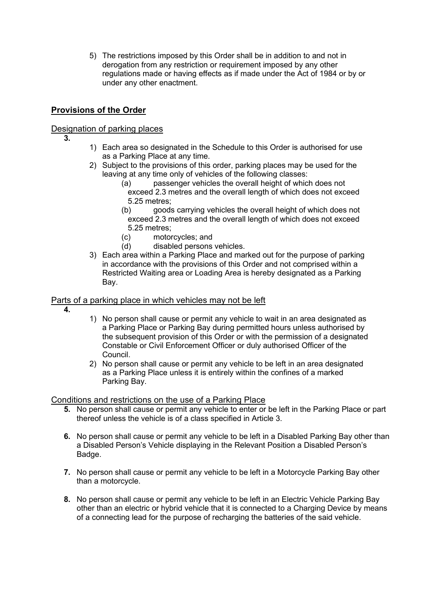5) The restrictions imposed by this Order shall be in addition to and not in derogation from any restriction or requirement imposed by any other regulations made or having effects as if made under the Act of 1984 or by or under any other enactment.

# **Provisions of the Order**

# Designation of parking places

- **3.**
- 1) Each area so designated in the Schedule to this Order is authorised for use as a Parking Place at any time.
- 2) Subject to the provisions of this order, parking places may be used for the leaving at any time only of vehicles of the following classes:
	- (a) passenger vehicles the overall height of which does not exceed 2.3 metres and the overall length of which does not exceed 5.25 metres;
	- (b) goods carrying vehicles the overall height of which does not exceed 2.3 metres and the overall length of which does not exceed 5.25 metres;
	- (c) motorcycles; and
	- (d) disabled persons vehicles.
- 3) Each area within a Parking Place and marked out for the purpose of parking in accordance with the provisions of this Order and not comprised within a Restricted Waiting area or Loading Area is hereby designated as a Parking Bay.

### Parts of a parking place in which vehicles may not be left

- **4.**
- 1) No person shall cause or permit any vehicle to wait in an area designated as a Parking Place or Parking Bay during permitted hours unless authorised by the subsequent provision of this Order or with the permission of a designated Constable or Civil Enforcement Officer or duly authorised Officer of the Council.
- 2) No person shall cause or permit any vehicle to be left in an area designated as a Parking Place unless it is entirely within the confines of a marked Parking Bay.

# Conditions and restrictions on the use of a Parking Place

- **5.** No person shall cause or permit any vehicle to enter or be left in the Parking Place or part thereof unless the vehicle is of a class specified in Article 3.
- **6.** No person shall cause or permit any vehicle to be left in a Disabled Parking Bay other than a Disabled Person's Vehicle displaying in the Relevant Position a Disabled Person's Badge.
- **7.** No person shall cause or permit any vehicle to be left in a Motorcycle Parking Bay other than a motorcycle.
- other than an electric or hybrid vehicle that it is connected to a Charging Device by means **8.** No person shall cause or permit any vehicle to be left in an Electric Vehicle Parking Bay of a connecting lead for the purpose of recharging the batteries of the said vehicle.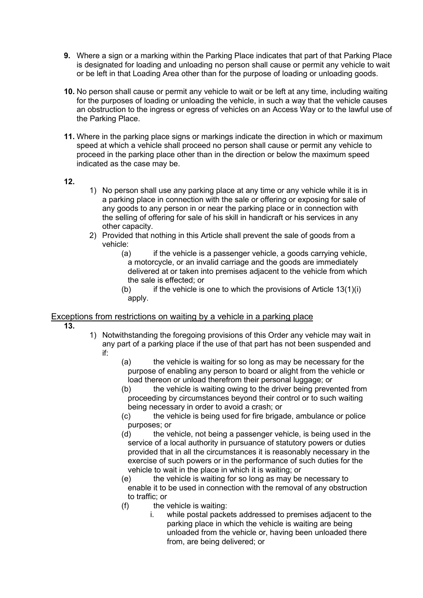- is designated for loading and unloading no person shall cause or permit any vehicle to wait or be left in that Loading Area other than for the purpose of loading or unloading goods. **9.** Where a sign or a marking within the Parking Place indicates that part of that Parking Place
- **10.** No person shall cause or permit any vehicle to wait or be left at any time, including waiting for the purposes of loading or unloading the vehicle, in such a way that the vehicle causes an obstruction to the ingress or egress of vehicles on an Access Way or to the lawful use of the Parking Place.
- speed at which a vehicle shall proceed no person shall cause or permit any vehicle to **11.** Where in the parking place signs or markings indicate the direction in which or maximum proceed in the parking place other than in the direction or below the maximum speed indicated as the case may be.

# **12.**

- 1) No person shall use any parking place at any time or any vehicle while it is in a parking place in connection with the sale or offering or exposing for sale of any goods to any person in or near the parking place or in connection with the selling of offering for sale of his skill in handicraft or his services in any other capacity.
- 2) Provided that nothing in this Article shall prevent the sale of goods from a vehicle:
	- (a) if the vehicle is a passenger vehicle, a goods carrying vehicle, a motorcycle, or an invalid carriage and the goods are immediately delivered at or taken into premises adjacent to the vehicle from which the sale is effected; or
	- (b) if the vehicle is one to which the provisions of Article  $13(1)(i)$ apply.

#### Exceptions from restrictions on waiting by a vehicle in a parking place

- **13.**
- any part of a parking place if the use of that part has not been suspended and 1) Notwithstanding the foregoing provisions of this Order any vehicle may wait in if:
	- (a) the vehicle is waiting for so long as may be necessary for the purpose of enabling any person to board or alight from the vehicle or load thereon or unload therefrom their personal luggage; or
	- being necessary in order to avoid a crash; or (b) the vehicle is waiting owing to the driver being prevented from proceeding by circumstances beyond their control or to such waiting
	- (c) the vehicle is being used for fire brigade, ambulance or police purposes; or
	- (d) the vehicle, not being a passenger vehicle, is being used in the service of a local authority in pursuance of statutory powers or duties provided that in all the circumstances it is reasonably necessary in the exercise of such powers or in the performance of such duties for the vehicle to wait in the place in which it is waiting; or
	- (e) the vehicle is waiting for so long as may be necessary to enable it to be used in connection with the removal of any obstruction to traffic; or
	- (f) the vehicle is waiting:
		- i. while postal packets addressed to premises adjacent to the parking place in which the vehicle is waiting are being unloaded from the vehicle or, having been unloaded there from, are being delivered; or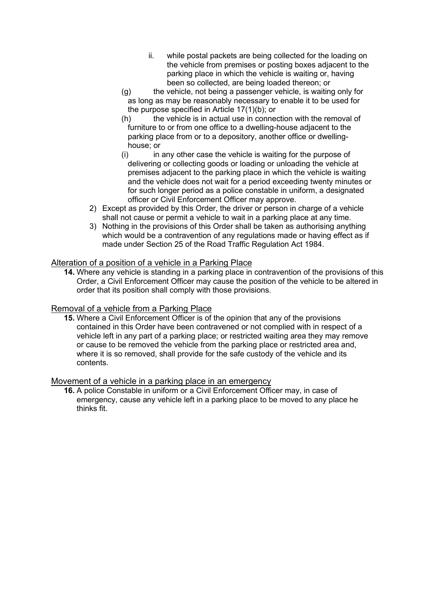- ii. while postal packets are being collected for the loading on the vehicle from premises or posting boxes adjacent to the parking place in which the vehicle is waiting or, having been so collected, are being loaded thereon; or
- as long as may be reasonably necessary to enable it to be used for (g) the vehicle, not being a passenger vehicle, is waiting only for the purpose specified in Article 17(1)(b); or
- parking place from or to a depository, another office or dwelling-(h) the vehicle is in actual use in connection with the removal of furniture to or from one office to a dwelling-house adjacent to the house; or
- and the vehicle does not wait for a period exceeding twenty minutes or (i) in any other case the vehicle is waiting for the purpose of delivering or collecting goods or loading or unloading the vehicle at premises adjacent to the parking place in which the vehicle is waiting for such longer period as a police constable in uniform, a designated officer or Civil Enforcement Officer may approve.
- 2) Except as provided by this Order, the driver or person in charge of a vehicle shall not cause or permit a vehicle to wait in a parking place at any time.
- which would be a contravention of any regulations made or having effect as if made under Section 25 of the Road Traffic Regulation Act 1984. 3) Nothing in the provisions of this Order shall be taken as authorising anything

#### Alteration of a position of a vehicle in a Parking Place

**14.** Where any vehicle is standing in a parking place in contravention of the provisions of this Order, a Civil Enforcement Officer may cause the position of the vehicle to be altered in order that its position shall comply with those provisions.

# Removal of a vehicle from a Parking Place

**15.** Where a Civil Enforcement Officer is of the opinion that any of the provisions contained in this Order have been contravened or not complied with in respect of a vehicle left in any part of a parking place; or restricted waiting area they may remove or cause to be removed the vehicle from the parking place or restricted area and, where it is so removed, shall provide for the safe custody of the vehicle and its contents.

# Movement of a vehicle in a parking place in an emergency

**16.** A police Constable in uniform or a Civil Enforcement Officer may, in case of emergency, cause any vehicle left in a parking place to be moved to any place he thinks fit.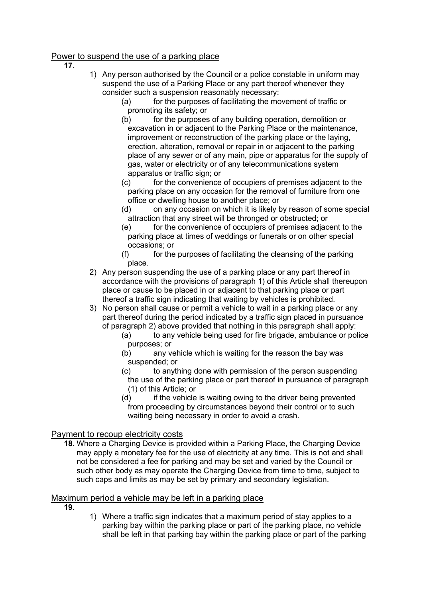# Power to suspend the use of a parking place

 **17.** 

- suspend the use of a Parking Place or any part thereof whenever they 1) Any person authorised by the Council or a police constable in uniform may consider such a suspension reasonably necessary:
	- $(a)$  for the purposes of facilitating the movement of traffic or promoting its safety; or
	- (b) for the purposes of any building operation, demolition or excavation in or adjacent to the Parking Place or the maintenance, improvement or reconstruction of the parking place or the laying, erection, alteration, removal or repair in or adjacent to the parking place of any sewer or of any main, pipe or apparatus for the supply of gas, water or electricity or of any telecommunications system apparatus or traffic sign; or
	- (c) for the convenience of occupiers of premises adjacent to the parking place on any occasion for the removal of furniture from one office or dwelling house to another place; or
	- (d) on any occasion on which it is likely by reason of some special attraction that any street will be thronged or obstructed; or
	- parking place at times of weddings or funerals or on other special (e) for the convenience of occupiers of premises adjacent to the occasions; or
	- $(f)$  for the purposes of facilitating the cleansing of the parking place.
- 2) Any person suspending the use of a parking place or any part thereof in accordance with the provisions of paragraph 1) of this Article shall thereupon place or cause to be placed in or adjacent to that parking place or part thereof a traffic sign indicating that waiting by vehicles is prohibited.
- 3) No person shall cause or permit a vehicle to wait in a parking place or any part thereof during the period indicated by a traffic sign placed in pursuance of paragraph 2) above provided that nothing in this paragraph shall apply:
	- purposes; or (a) to any vehicle being used for fire brigade, ambulance or police
	- (b) any vehicle which is waiting for the reason the bay was suspended; or
	- (c) to anything done with permission of the person suspending the use of the parking place or part thereof in pursuance of paragraph (1) of this Article; or
	- (d) if the vehicle is waiting owing to the driver being prevented waiting being necessary in order to avoid a crash. from proceeding by circumstances beyond their control or to such

# Payment to recoup electricity costs

 may apply a monetary fee for the use of electricity at any time. This is not and shall **18.** Where a Charging Device is provided within a Parking Place, the Charging Device not be considered a fee for parking and may be set and varied by the Council or such other body as may operate the Charging Device from time to time, subject to such caps and limits as may be set by primary and secondary legislation.

# Maximum period a vehicle may be left in a parking place

- **19.**
- 1) Where a traffic sign indicates that a maximum period of stay applies to a parking bay within the parking place or part of the parking place, no vehicle shall be left in that parking bay within the parking place or part of the parking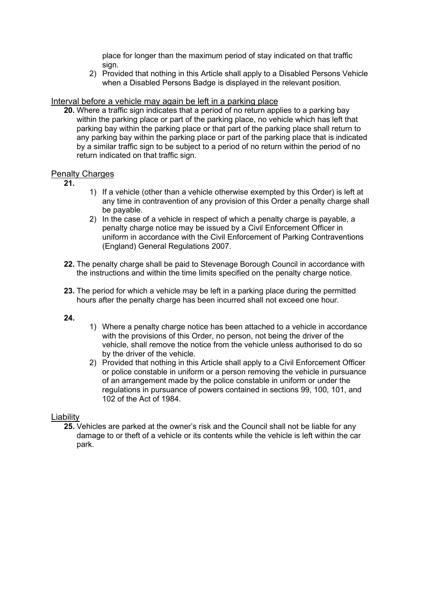place for longer than the maximum period of stay indicated on that traffic sign.

2) Provided that nothing in this Article shall apply to a Disabled Persons Vehicle when a Disabled Persons Badge is displayed in the relevant position.

#### Interval before a vehicle may again be left in a parking place

 within the parking place or part of the parking place, no vehicle which has left that **20.** Where a traffic sign indicates that a period of no return applies to a parking bay parking bay within the parking place or that part of the parking place shall return to any parking bay within the parking place or part of the parking place that is indicated by a similar traffic sign to be subject to a period of no return within the period of no return indicated on that traffic sign.

#### **Penalty Charges**

- **21.**
- 1) If a vehicle (other than a vehicle otherwise exempted by this Order) is left at any time in contravention of any provision of this Order a penalty charge shall be payable.
- 2) In the case of a vehicle in respect of which a penalty charge is payable, a penalty charge notice may be issued by a Civil Enforcement Officer in uniform in accordance with the Civil Enforcement of Parking Contraventions (England) General Regulations 2007.
- **22.** The penalty charge shall be paid to Stevenage Borough Council in accordance with the instructions and within the time limits specified on the penalty charge notice.
- **23.** The period for which a vehicle may be left in a parking place during the permitted hours after the penalty charge has been incurred shall not exceed one hour.

#### **24.**

- 1) Where a penalty charge notice has been attached to a vehicle in accordance with the provisions of this Order, no person, not being the driver of the vehicle, shall remove the notice from the vehicle unless authorised to do so by the driver of the vehicle.
- of an arrangement made by the police constable in uniform or under the 2) Provided that nothing in this Article shall apply to a Civil Enforcement Officer or police constable in uniform or a person removing the vehicle in pursuance regulations in pursuance of powers contained in sections 99, 100, 101, and 102 of the Act of 1984.

#### Liability

**25.** Vehicles are parked at the owner's risk and the Council shall not be liable for any damage to or theft of a vehicle or its contents while the vehicle is left within the car park.